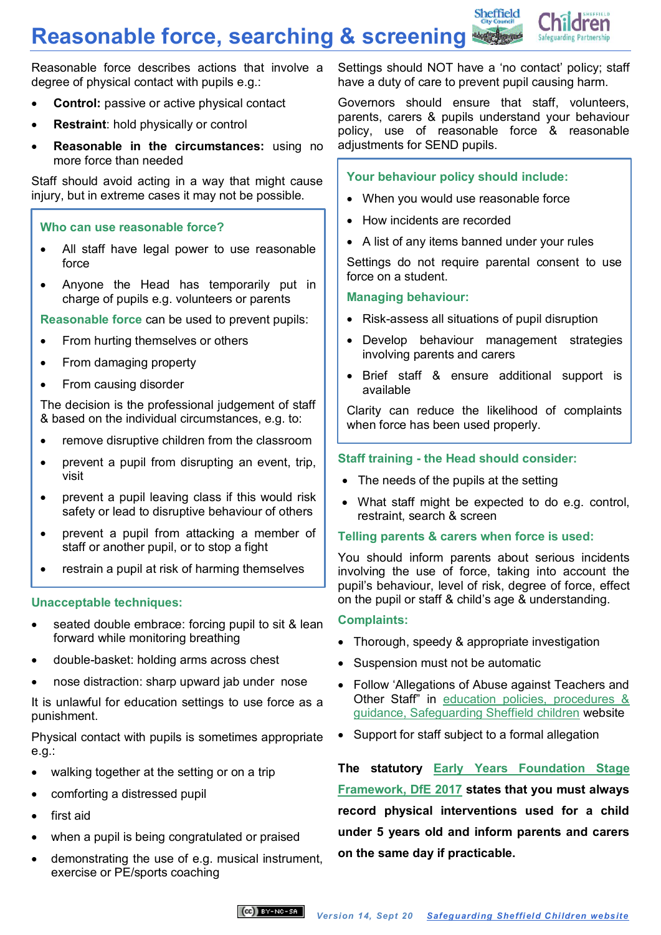# **Reasonable force, searching & screening**



Reasonable force describes actions that involve a degree of physical contact with pupils e.g.:

- **Control:** passive or active physical contact
- **Restraint**: hold physically or control
- **Reasonable in the circumstances:** using no more force than needed

Staff should avoid acting in a way that might cause injury, but in extreme cases it may not be possible.

#### **Who can use reasonable force?**

- All staff have legal power to use reasonable force
- Anyone the Head has temporarily put in charge of pupils e.g. volunteers or parents

**Reasonable force** can be used to prevent pupils:

- From hurting themselves or others
- From damaging property
- From causing disorder

The decision is the professional judgement of staff & based on the individual circumstances, e.g. to:

- remove disruptive children from the classroom
- prevent a pupil from disrupting an event, trip, visit
- prevent a pupil leaving class if this would risk safety or lead to disruptive behaviour of others
- prevent a pupil from attacking a member of staff or another pupil, or to stop a fight
- restrain a pupil at risk of harming themselves

# **Unacceptable techniques:**

- seated double embrace: forcing pupil to sit & lean forward while monitoring breathing
- double-basket: holding arms across chest
- nose distraction: sharp upward jab under nose

It is unlawful for education settings to use force as a punishment.

Physical contact with pupils is sometimes appropriate e.g.:

- walking together at the setting or on a trip
- comforting a distressed pupil
- first aid
- when a pupil is being congratulated or praised
- demonstrating the use of e.g. musical instrument, exercise or PE/sports coaching

Settings should NOT have a 'no contact' policy; staff have a duty of care to prevent pupil causing harm.

Governors should ensure that staff, volunteers, parents, carers & pupils understand your behaviour policy, use of reasonable force & reasonable adjustments for SEND pupils.

# **Your behaviour policy should include:**

- When you would use reasonable force
- How incidents are recorded
- A list of any items banned under your rules

Settings do not require parental consent to use force on a student.

#### **Managing behaviour:**

- Risk-assess all situations of pupil disruption
- Develop behaviour management strategies involving parents and carers
- Brief staff & ensure additional support is available

Clarity can reduce the likelihood of complaints when force has been used properly.

#### **Staff training - the Head should consider:**

- The needs of the pupils at the setting
- What staff might be expected to do e.g. control, restraint, search & screen

#### **Telling parents & carers when force is used:**

You should inform parents about serious incidents involving the use of force, taking into account the pupil's behaviour, level of risk, degree of force, effect on the pupil or staff & child's age & understanding.

#### **Complaints:**

- Thorough, speedy & appropriate investigation
- Suspension must not be automatic
- Follow 'Allegations of Abuse against Teachers and Other Staff" in [education policies, procedures &](https://www.safeguardingsheffieldchildren.org/sscb/education/policies-procedures)  [guidance, Safeguarding Sheffield children](https://www.safeguardingsheffieldchildren.org/sscb/education/policies-procedures) website
- Support for staff subject to a formal allegation

**The statutory [Early Years Foundation Stage](https://www.gov.uk/government/publications/early-years-foundation-stage-framework--2)  [Framework, DfE 2017](https://www.gov.uk/government/publications/early-years-foundation-stage-framework--2) states that you must always record physical interventions used for a child under 5 years old and inform parents and carers on the same day if practicable.**